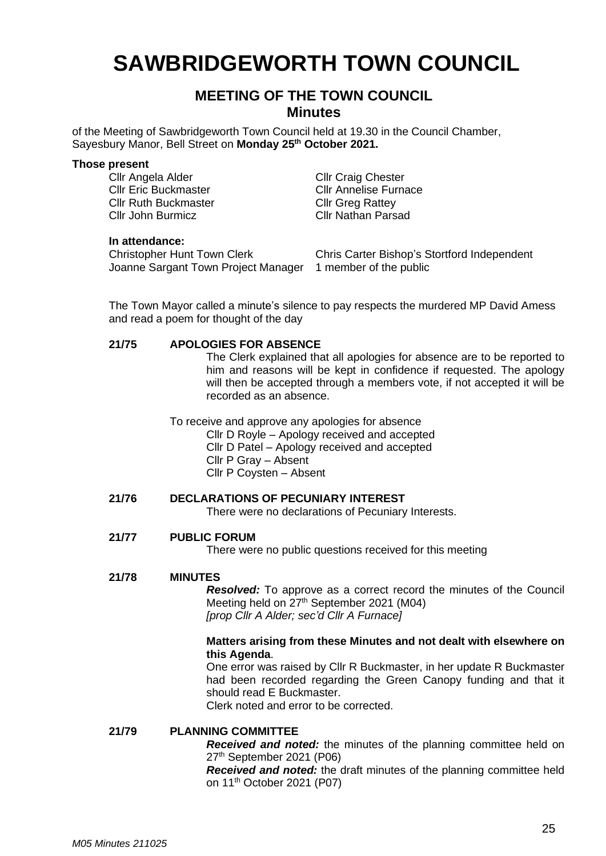# **SAWBRIDGEWORTH TOWN COUNCIL**

## **MEETING OF THE TOWN COUNCIL Minutes**

of the Meeting of Sawbridgeworth Town Council held at 19.30 in the Council Chamber, Sayesbury Manor, Bell Street on **Monday 25 th October 2021.**

### **Those present**

Cllr Angela Alder Cllr Craig Chester Cllr Ruth Buckmaster Cllr Greg Rattey Cllr John Burmicz Cllr Nathan Parsad

Cllr Eric Buckmaster Cllr Annelise Furnace

### **In attendance:**

Christopher Hunt Town Clerk Joanne Sargant Town Project Manager 1 member of the public

Chris Carter Bishop's Stortford Independent

The Town Mayor called a minute's silence to pay respects the murdered MP David Amess and read a poem for thought of the day

### **21/75 APOLOGIES FOR ABSENCE**

The Clerk explained that all apologies for absence are to be reported to him and reasons will be kept in confidence if requested. The apology will then be accepted through a members vote, if not accepted it will be recorded as an absence.

To receive and approve any apologies for absence

- Cllr D Royle Apology received and accepted
	- Cllr D Patel Apology received and accepted
- Cllr P Gray Absent
- Cllr P Coysten Absent

### **21/76 DECLARATIONS OF PECUNIARY INTEREST**

There were no declarations of Pecuniary Interests.

### **21/77 PUBLIC FORUM**

There were no public questions received for this meeting

### **21/78 MINUTES**

*Resolved:* To approve as a correct record the minutes of the Council Meeting held on 27<sup>th</sup> September 2021 (M04) *[prop Cllr A Alder; sec'd Cllr A Furnace]*

### **Matters arising from these Minutes and not dealt with elsewhere on this Agenda**.

One error was raised by Cllr R Buckmaster, in her update R Buckmaster had been recorded regarding the Green Canopy funding and that it should read E Buckmaster.

Clerk noted and error to be corrected.

### **21/79 PLANNING COMMITTEE**

*Received and noted:* the minutes of the planning committee held on 27 th September 2021 (P06)

*Received and noted:* the draft minutes of the planning committee held on 11<sup>th</sup> October 2021 (P07)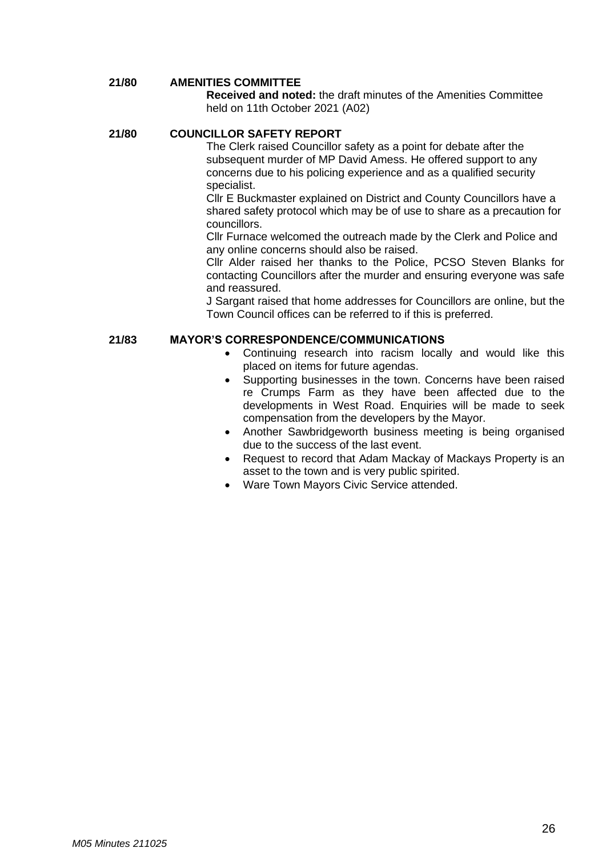#### **21/80 AMENITIES COMMITTEE**

**Received and noted:** the draft minutes of the Amenities Committee held on 11th October 2021 (A02)

#### **21/80 COUNCILLOR SAFETY REPORT**

The Clerk raised Councillor safety as a point for debate after the subsequent murder of MP David Amess. He offered support to any concerns due to his policing experience and as a qualified security specialist.

Cllr E Buckmaster explained on District and County Councillors have a shared safety protocol which may be of use to share as a precaution for councillors.

Cllr Furnace welcomed the outreach made by the Clerk and Police and any online concerns should also be raised.

Cllr Alder raised her thanks to the Police, PCSO Steven Blanks for contacting Councillors after the murder and ensuring everyone was safe and reassured.

J Sargant raised that home addresses for Councillors are online, but the Town Council offices can be referred to if this is preferred.

### **21/83 MAYOR'S CORRESPONDENCE/COMMUNICATIONS**

- Continuing research into racism locally and would like this placed on items for future agendas.
- Supporting businesses in the town. Concerns have been raised re Crumps Farm as they have been affected due to the developments in West Road. Enquiries will be made to seek compensation from the developers by the Mayor.
- Another Sawbridgeworth business meeting is being organised due to the success of the last event.
- Request to record that Adam Mackay of Mackays Property is an asset to the town and is very public spirited.
- Ware Town Mayors Civic Service attended.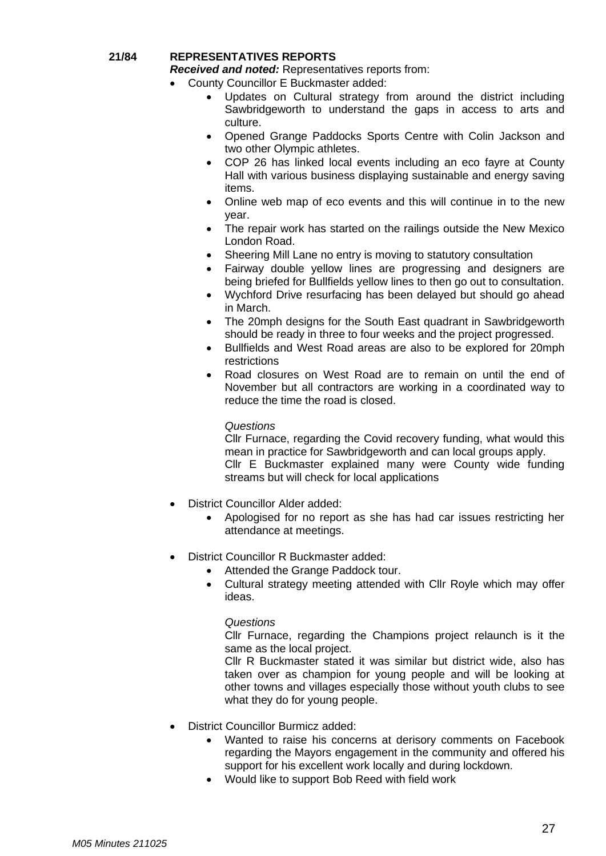### **21/84 REPRESENTATIVES REPORTS**

*Received and noted:* Representatives reports from:

- County Councillor E Buckmaster added:
	- Updates on Cultural strategy from around the district including Sawbridgeworth to understand the gaps in access to arts and culture.
	- Opened Grange Paddocks Sports Centre with Colin Jackson and two other Olympic athletes.
	- COP 26 has linked local events including an eco fayre at County Hall with various business displaying sustainable and energy saving items.
	- Online web map of eco events and this will continue in to the new year.
	- The repair work has started on the railings outside the New Mexico London Road.
	- Sheering Mill Lane no entry is moving to statutory consultation
	- Fairway double yellow lines are progressing and designers are being briefed for Bullfields yellow lines to then go out to consultation.
	- Wychford Drive resurfacing has been delayed but should go ahead in March.
	- The 20mph designs for the South East quadrant in Sawbridgeworth should be ready in three to four weeks and the project progressed.
	- Bullfields and West Road areas are also to be explored for 20mph restrictions
	- Road closures on West Road are to remain on until the end of November but all contractors are working in a coordinated way to reduce the time the road is closed.

### *Questions*

Cllr Furnace, regarding the Covid recovery funding, what would this mean in practice for Sawbridgeworth and can local groups apply. Cllr E Buckmaster explained many were County wide funding streams but will check for local applications

- District Councillor Alder added:
	- Apologised for no report as she has had car issues restricting her attendance at meetings.
- District Councillor R Buckmaster added:
	- Attended the Grange Paddock tour.
	- Cultural strategy meeting attended with Cllr Royle which may offer ideas.

### *Questions*

Cllr Furnace, regarding the Champions project relaunch is it the same as the local project.

Cllr R Buckmaster stated it was similar but district wide, also has taken over as champion for young people and will be looking at other towns and villages especially those without youth clubs to see what they do for young people.

- District Councillor Burmicz added:
	- Wanted to raise his concerns at derisory comments on Facebook regarding the Mayors engagement in the community and offered his support for his excellent work locally and during lockdown.
	- Would like to support Bob Reed with field work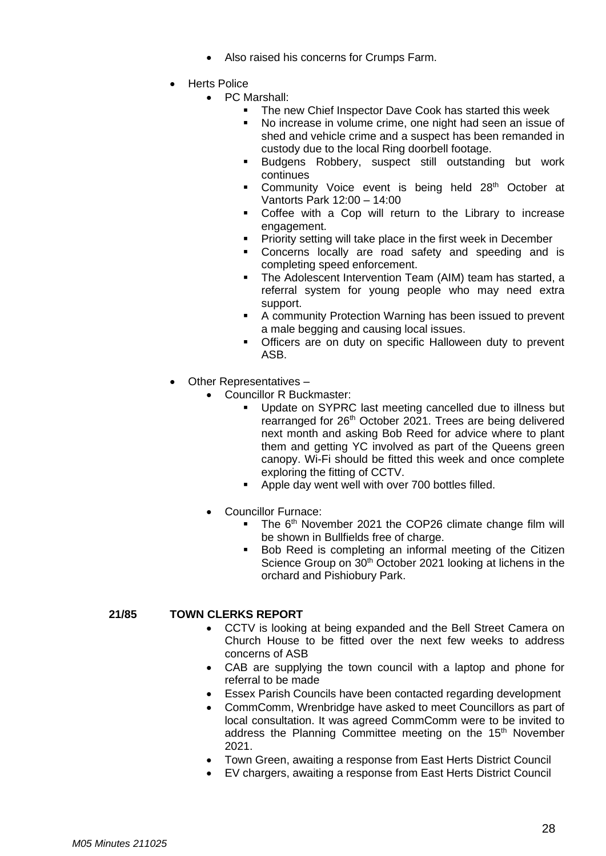- Also raised his concerns for Crumps Farm.
- **Herts Police** 
	- PC Marshall:
		- The new Chief Inspector Dave Cook has started this week
			- No increase in volume crime, one night had seen an issue of shed and vehicle crime and a suspect has been remanded in custody due to the local Ring doorbell footage.
		- Budgens Robbery, suspect still outstanding but work continues
		- Community Voice event is being held 28<sup>th</sup> October at Vantorts Park 12:00 – 14:00
		- Coffee with a Cop will return to the Library to increase engagement.
		- **Priority setting will take place in the first week in December**
		- Concerns locally are road safety and speeding and is completing speed enforcement.
		- **The Adolescent Intervention Team (AIM) team has started, a** referral system for young people who may need extra support.
		- A community Protection Warning has been issued to prevent a male begging and causing local issues.
		- Officers are on duty on specific Halloween duty to prevent ASB.
- Other Representatives
	- Councillor R Buckmaster:
		- Update on SYPRC last meeting cancelled due to illness but rearranged for 26<sup>th</sup> October 2021. Trees are being delivered next month and asking Bob Reed for advice where to plant them and getting YC involved as part of the Queens green canopy. Wi-Fi should be fitted this week and once complete exploring the fitting of CCTV.
		- Apple day went well with over 700 bottles filled.
		- Councillor Furnace:
			- **The 6<sup>th</sup> November 2021 the COP26 climate change film will** be shown in Bullfields free of charge.
			- Bob Reed is completing an informal meeting of the Citizen Science Group on 30<sup>th</sup> October 2021 looking at lichens in the orchard and Pishiobury Park.

### **21/85 TOWN CLERKS REPORT**

- CCTV is looking at being expanded and the Bell Street Camera on Church House to be fitted over the next few weeks to address concerns of ASB
- CAB are supplying the town council with a laptop and phone for referral to be made
- Essex Parish Councils have been contacted regarding development
- CommComm, Wrenbridge have asked to meet Councillors as part of local consultation. It was agreed CommComm were to be invited to address the Planning Committee meeting on the 15<sup>th</sup> November 2021.
- Town Green, awaiting a response from East Herts District Council
- EV chargers, awaiting a response from East Herts District Council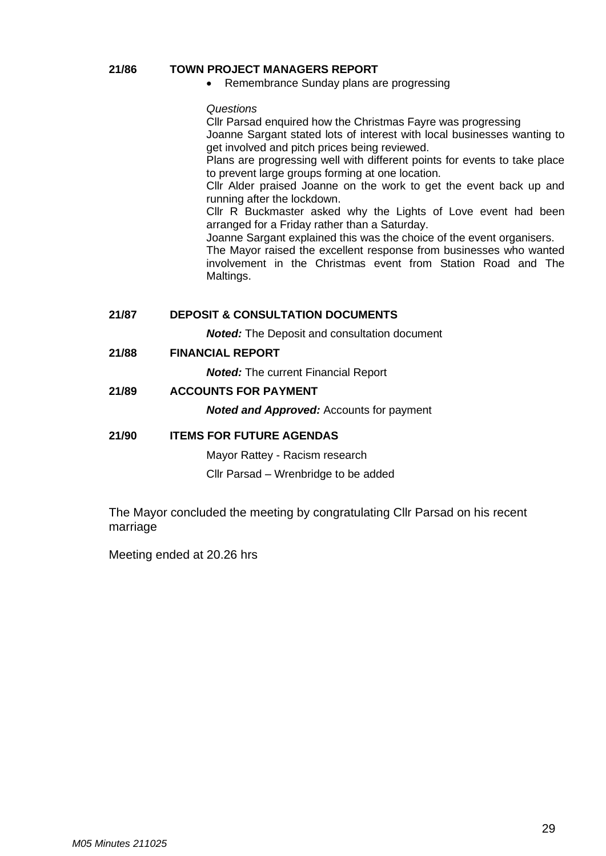### **21/86 TOWN PROJECT MANAGERS REPORT**

• Remembrance Sunday plans are progressing

### *Questions*

Cllr Parsad enquired how the Christmas Fayre was progressing Joanne Sargant stated lots of interest with local businesses wanting to

get involved and pitch prices being reviewed.

Plans are progressing well with different points for events to take place to prevent large groups forming at one location.

Cllr Alder praised Joanne on the work to get the event back up and running after the lockdown.

Cllr R Buckmaster asked why the Lights of Love event had been arranged for a Friday rather than a Saturday.

Joanne Sargant explained this was the choice of the event organisers.

The Mayor raised the excellent response from businesses who wanted involvement in the Christmas event from Station Road and The Maltings.

**21/87 DEPOSIT & CONSULTATION DOCUMENTS**

*Noted:* The Deposit and consultation document

**21/88 FINANCIAL REPORT**

*Noted:* The current Financial Report

**21/89 ACCOUNTS FOR PAYMENT**

*Noted and Approved:* Accounts for payment

### **21/90 ITEMS FOR FUTURE AGENDAS**

Mayor Rattey - Racism research

Cllr Parsad – Wrenbridge to be added

The Mayor concluded the meeting by congratulating Cllr Parsad on his recent marriage

Meeting ended at 20.26 hrs